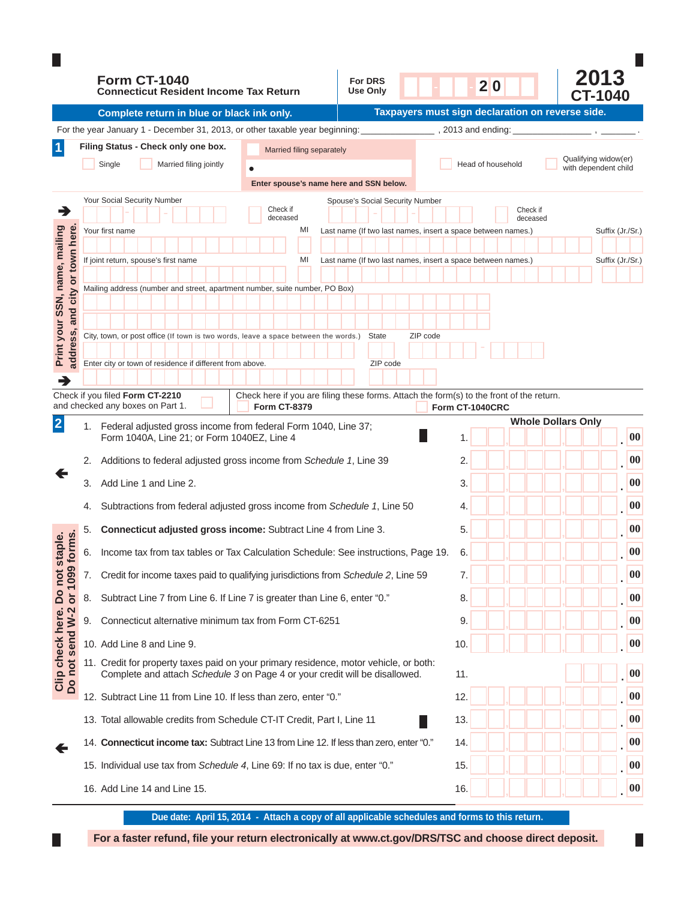|                                                    |    | <b>Form CT-1040</b><br><b>Connecticut Resident Income Tax Return</b>                                                                                                 |                                                                                                                 | <b>For DRS</b><br><b>Use Only</b>                            |          | 20                 |                                                  | 2013<br>CT-1040      |                   |
|----------------------------------------------------|----|----------------------------------------------------------------------------------------------------------------------------------------------------------------------|-----------------------------------------------------------------------------------------------------------------|--------------------------------------------------------------|----------|--------------------|--------------------------------------------------|----------------------|-------------------|
|                                                    |    | Complete return in blue or black ink only.                                                                                                                           |                                                                                                                 |                                                              |          |                    | Taxpayers must sign declaration on reverse side. |                      |                   |
|                                                    |    | For the year January 1 - December 31, 2013, or other taxable year beginning:                                                                                         |                                                                                                                 |                                                              |          | , 2013 and ending: |                                                  |                      |                   |
| $\mathbf 1$                                        |    | Filing Status - Check only one box.                                                                                                                                  | Married filing separately                                                                                       |                                                              |          |                    |                                                  | Qualifying widow(er) |                   |
|                                                    |    | Single<br>Married filing jointly                                                                                                                                     |                                                                                                                 |                                                              |          | Head of household  |                                                  | with dependent child |                   |
|                                                    |    |                                                                                                                                                                      | Enter spouse's name here and SSN below.                                                                         |                                                              |          |                    |                                                  |                      |                   |
| ∍                                                  |    | Your Social Security Number                                                                                                                                          | Check if                                                                                                        | Spouse's Social Security Number                              |          |                    | Check if                                         |                      |                   |
|                                                    |    | Your first name                                                                                                                                                      | deceased<br>MI                                                                                                  | Last name (If two last names, insert a space between names.) |          |                    | deceased                                         | Suffix (Jr./Sr.)     |                   |
| or town here                                       |    |                                                                                                                                                                      |                                                                                                                 |                                                              |          |                    |                                                  |                      |                   |
|                                                    |    | If joint return, spouse's first name                                                                                                                                 | MI                                                                                                              | Last name (If two last names, insert a space between names.) |          |                    |                                                  | Suffix (Jr./Sr.)     |                   |
|                                                    |    | Mailing address (number and street, apartment number, suite number, PO Box)                                                                                          |                                                                                                                 |                                                              |          |                    |                                                  |                      |                   |
| Print your SSN, name, mailing<br>and city          |    |                                                                                                                                                                      |                                                                                                                 |                                                              |          |                    |                                                  |                      |                   |
|                                                    |    |                                                                                                                                                                      |                                                                                                                 |                                                              |          |                    |                                                  |                      |                   |
| address,                                           |    | City, town, or post office (If town is two words, leave a space between the words.)                                                                                  |                                                                                                                 | <b>State</b>                                                 | ZIP code |                    |                                                  |                      |                   |
|                                                    |    | Enter city or town of residence if different from above.                                                                                                             |                                                                                                                 | ZIP code                                                     |          |                    |                                                  |                      |                   |
| ┓                                                  |    |                                                                                                                                                                      |                                                                                                                 |                                                              |          |                    |                                                  |                      |                   |
|                                                    |    | Check if you filed Form CT-2210<br>and checked any boxes on Part 1.                                                                                                  | Check here if you are filing these forms. Attach the form(s) to the front of the return.<br><b>Form CT-8379</b> |                                                              |          | Form CT-1040CRC    |                                                  |                      |                   |
| $\overline{2}$                                     | 1. | Federal adjusted gross income from federal Form 1040, Line 37;<br>Form 1040A, Line 21; or Form 1040EZ, Line 4                                                        |                                                                                                                 |                                                              |          | 1.                 | <b>Whole Dollars Only</b>                        |                      | 00                |
|                                                    | 2. | Additions to federal adjusted gross income from Schedule 1, Line 39                                                                                                  |                                                                                                                 |                                                              |          | 2.                 |                                                  |                      | $\boldsymbol{00}$ |
|                                                    |    |                                                                                                                                                                      |                                                                                                                 |                                                              |          |                    |                                                  |                      |                   |
|                                                    | 3. | Add Line 1 and Line 2.                                                                                                                                               |                                                                                                                 |                                                              |          | 3.                 |                                                  |                      | 00                |
|                                                    | 4. | Subtractions from federal adjusted gross income from Schedule 1, Line 50                                                                                             |                                                                                                                 |                                                              |          | 4.                 |                                                  |                      | 00                |
|                                                    | 5. | <b>Connecticut adjusted gross income:</b> Subtract Line 4 from Line 3.                                                                                               |                                                                                                                 |                                                              |          | 5.                 |                                                  |                      | $\boldsymbol{00}$ |
| orms.<br>staple.<br><b>SV</b>                      | 6. | Income tax from tax tables or Tax Calculation Schedule: See instructions, Page 19.                                                                                   |                                                                                                                 |                                                              |          | 6.                 |                                                  |                      | 00                |
| 1099                                               | 7. | Credit for income taxes paid to qualifying jurisdictions from Schedule 2, Line 59                                                                                    |                                                                                                                 |                                                              |          | 7.                 |                                                  |                      | $\boldsymbol{00}$ |
|                                                    | 8. | Subtract Line 7 from Line 6. If Line 7 is greater than Line 6, enter "0."                                                                                            |                                                                                                                 |                                                              |          | 8.                 |                                                  |                      | $\boldsymbol{00}$ |
|                                                    | 9. | Connecticut alternative minimum tax from Form CT-6251                                                                                                                |                                                                                                                 |                                                              |          | 9.                 |                                                  |                      | $\boldsymbol{00}$ |
|                                                    |    | 10. Add Line 8 and Line 9.                                                                                                                                           |                                                                                                                 |                                                              |          | 10.                |                                                  |                      | 00                |
| Clip check here. Do not<br>Do not send W-2 or 1099 |    | 11. Credit for property taxes paid on your primary residence, motor vehicle, or both:<br>Complete and attach Schedule 3 on Page 4 or your credit will be disallowed. |                                                                                                                 |                                                              |          | 11.                |                                                  |                      | 00                |
|                                                    |    | 12. Subtract Line 11 from Line 10. If less than zero, enter "0."                                                                                                     |                                                                                                                 |                                                              |          | 12.                |                                                  |                      | 00                |
|                                                    |    | 13. Total allowable credits from Schedule CT-IT Credit, Part I, Line 11                                                                                              |                                                                                                                 |                                                              |          | 13.                |                                                  |                      | 00                |
|                                                    |    | 14. Connecticut income tax: Subtract Line 13 from Line 12. If less than zero, enter "0."                                                                             |                                                                                                                 |                                                              |          | 14.                |                                                  |                      | 00                |
|                                                    |    | 15. Individual use tax from Schedule 4, Line 69: If no tax is due, enter "0."                                                                                        |                                                                                                                 |                                                              |          | 15.                |                                                  |                      | 00                |
|                                                    |    | 16. Add Line 14 and Line 15.                                                                                                                                         |                                                                                                                 |                                                              |          | 16.                |                                                  |                      | 00                |

**Due date: April 15, 2014 - Attach a copy of all applicable schedules and forms to this return.**

For a faster refund, file your return electronically at www.ct.gov/DRS/TSC and choose direct deposit.

 $\Box$ 

П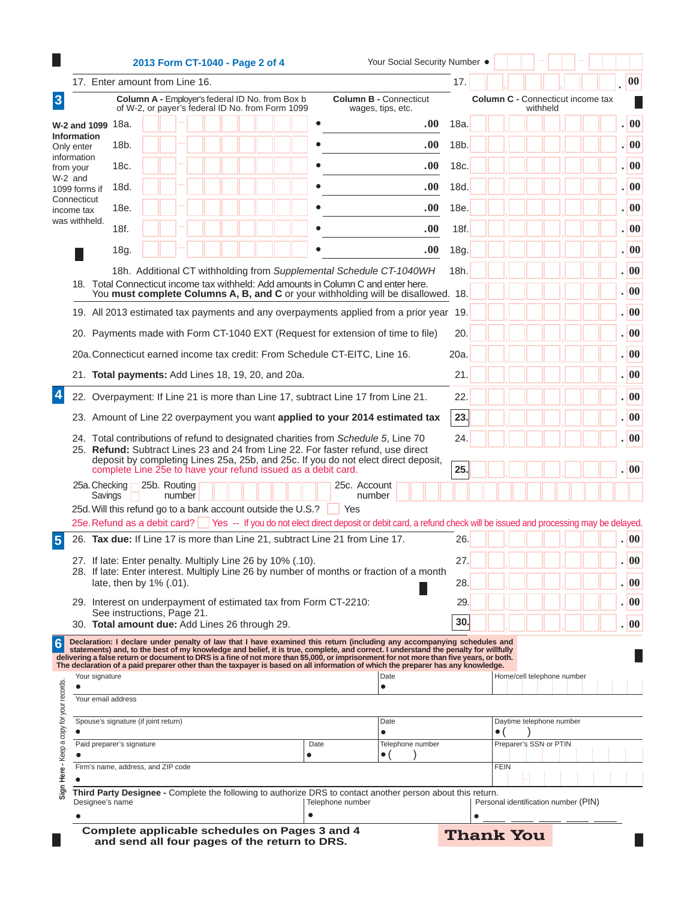|                           |                                                               | 2013 Form CT-1040 - Page 2 of 4                                                                     |  |  |                   |                                                                                    | Your Social Security Number .                                                                                                                                                                                                                                |              |                                      |                            |          |  |  |        |
|---------------------------|---------------------------------------------------------------|-----------------------------------------------------------------------------------------------------|--|--|-------------------|------------------------------------------------------------------------------------|--------------------------------------------------------------------------------------------------------------------------------------------------------------------------------------------------------------------------------------------------------------|--------------|--------------------------------------|----------------------------|----------|--|--|--------|
|                           | 17. Enter amount from Line 16.                                |                                                                                                     |  |  |                   |                                                                                    |                                                                                                                                                                                                                                                              | 17.          |                                      |                            |          |  |  |        |
|                           |                                                               | Column A - Employer's federal ID No. from Box b<br>of W-2, or payer's federal ID No. from Form 1099 |  |  |                   |                                                                                    | <b>Column B - Connecticut</b><br>wages, tips, etc.                                                                                                                                                                                                           |              | Column C - Connecticut income tax    |                            | withheld |  |  |        |
| <b>W-2 and 1099</b>       | 18a.                                                          |                                                                                                     |  |  |                   |                                                                                    |                                                                                                                                                                                                                                                              | .00.<br>18a. |                                      |                            |          |  |  | 00     |
| Information<br>Only enter | 18b.                                                          |                                                                                                     |  |  |                   |                                                                                    |                                                                                                                                                                                                                                                              | .00.<br>18b. |                                      |                            |          |  |  |        |
| information<br>from your  | 18c.                                                          |                                                                                                     |  |  |                   |                                                                                    |                                                                                                                                                                                                                                                              | .00.<br>18c. |                                      |                            |          |  |  |        |
| W-2 and<br>1099 forms if  | 18d.                                                          |                                                                                                     |  |  |                   |                                                                                    |                                                                                                                                                                                                                                                              | .00.<br>18d. |                                      |                            |          |  |  |        |
| Connecticut<br>income tax | 18e.                                                          |                                                                                                     |  |  |                   |                                                                                    |                                                                                                                                                                                                                                                              | .00.<br>18e. |                                      |                            |          |  |  | .   00 |
| was withheld.             | 18f.                                                          |                                                                                                     |  |  |                   |                                                                                    |                                                                                                                                                                                                                                                              | .00.<br>18f. |                                      |                            |          |  |  | .   00 |
|                           | 18g.                                                          |                                                                                                     |  |  |                   |                                                                                    |                                                                                                                                                                                                                                                              | .00.<br>18g. |                                      |                            |          |  |  | .   00 |
|                           |                                                               |                                                                                                     |  |  |                   |                                                                                    | 18h. Additional CT withholding from Supplemental Schedule CT-1040WH                                                                                                                                                                                          | 18h.         |                                      |                            |          |  |  | .  00  |
|                           |                                                               |                                                                                                     |  |  |                   |                                                                                    | 18. Total Connecticut income tax withheld: Add amounts in Column C and enter here.                                                                                                                                                                           |              |                                      |                            |          |  |  | .  00  |
|                           |                                                               |                                                                                                     |  |  |                   |                                                                                    | You must complete Columns A, B, and C or your withholding will be disallowed. 18.                                                                                                                                                                            |              |                                      |                            |          |  |  | .   00 |
|                           |                                                               |                                                                                                     |  |  |                   |                                                                                    | 19. All 2013 estimated tax payments and any overpayments applied from a prior year 19.                                                                                                                                                                       |              |                                      |                            |          |  |  |        |
|                           |                                                               |                                                                                                     |  |  |                   |                                                                                    | 20. Payments made with Form CT-1040 EXT (Request for extension of time to file)                                                                                                                                                                              | 20.          |                                      |                            |          |  |  | .  00  |
|                           |                                                               |                                                                                                     |  |  |                   | 20a. Connecticut earned income tax credit: From Schedule CT-EITC, Line 16.         |                                                                                                                                                                                                                                                              | 20a.         |                                      |                            |          |  |  | .  00  |
|                           | 21. Total payments: Add Lines 18, 19, 20, and 20a.            |                                                                                                     |  |  |                   |                                                                                    |                                                                                                                                                                                                                                                              | 21.          |                                      |                            |          |  |  |        |
|                           |                                                               |                                                                                                     |  |  |                   |                                                                                    | 22. Overpayment: If Line 21 is more than Line 17, subtract Line 17 from Line 21.                                                                                                                                                                             | 22.          |                                      |                            |          |  |  |        |
|                           |                                                               |                                                                                                     |  |  |                   |                                                                                    | 23. Amount of Line 22 overpayment you want applied to your 2014 estimated tax                                                                                                                                                                                | 23.          |                                      |                            |          |  |  |        |
|                           |                                                               |                                                                                                     |  |  |                   | 24. Total contributions of refund to designated charities from Schedule 5, Line 70 |                                                                                                                                                                                                                                                              | 24.          |                                      |                            |          |  |  |        |
|                           |                                                               |                                                                                                     |  |  |                   |                                                                                    | 25. Refund: Subtract Lines 23 and 24 from Line 22. For faster refund, use direct<br>deposit by completing Lines 25a, 25b, and 25c. If you do not elect direct deposit,                                                                                       |              |                                      |                            |          |  |  |        |
|                           | complete Line 25e to have your refund issued as a debit card. |                                                                                                     |  |  |                   |                                                                                    |                                                                                                                                                                                                                                                              | 25.          |                                      |                            |          |  |  | .  00  |
| 25a. Checking<br>Savings  |                                                               | 25b. Routing<br>number                                                                              |  |  |                   | 25c. Account<br>number                                                             |                                                                                                                                                                                                                                                              |              |                                      |                            |          |  |  |        |
|                           | 25d. Will this refund go to a bank account outside the U.S.?  |                                                                                                     |  |  |                   | Yes                                                                                | 25e. Refund as a debit card? Yes -- If you do not elect direct deposit or debit card, a refund check will be issued and processing may be delayed.                                                                                                           |              |                                      |                            |          |  |  |        |
|                           |                                                               |                                                                                                     |  |  |                   | 26. Tax due: If Line 17 is more than Line 21, subtract Line 21 from Line 17.       |                                                                                                                                                                                                                                                              | 26.          |                                      |                            |          |  |  | . 00   |
|                           | 27. If late: Enter penalty. Multiply Line 26 by 10% (.10).    |                                                                                                     |  |  |                   |                                                                                    |                                                                                                                                                                                                                                                              | 27           |                                      |                            |          |  |  |        |
|                           |                                                               |                                                                                                     |  |  |                   |                                                                                    | 28. If late: Enter interest. Multiply Line 26 by number of months or fraction of a month                                                                                                                                                                     |              |                                      |                            |          |  |  |        |
|                           | late, then by 1% (.01).                                       |                                                                                                     |  |  |                   |                                                                                    |                                                                                                                                                                                                                                                              | 28.          |                                      |                            |          |  |  |        |
|                           | See instructions, Page 21.                                    |                                                                                                     |  |  |                   | 29. Interest on underpayment of estimated tax from Form CT-2210:                   |                                                                                                                                                                                                                                                              | 29.          |                                      |                            |          |  |  |        |
|                           | 30. Total amount due: Add Lines 26 through 29.                |                                                                                                     |  |  |                   |                                                                                    |                                                                                                                                                                                                                                                              | 30.          |                                      |                            |          |  |  |        |
|                           |                                                               |                                                                                                     |  |  |                   |                                                                                    | Declaration: I declare under penalty of law that I have examined this return (including any accompanying schedules and<br>statements) and, to the best of my knowledge and belief, it is true, complete, and correct. I understand the penalty for willfully |              |                                      |                            |          |  |  |        |
| Your signature            |                                                               |                                                                                                     |  |  |                   |                                                                                    | delivering a false return or document to DRS is a fine of not more than \$5,000, or imprisonment for not more than five years, or both.<br>The declaration of a paid preparer other than the taxpayer is based on all information<br>Date                    |              |                                      | Home/cell telephone number |          |  |  |        |
|                           |                                                               |                                                                                                     |  |  |                   |                                                                                    | $\bullet$                                                                                                                                                                                                                                                    |              |                                      |                            |          |  |  |        |
| Your email address        |                                                               |                                                                                                     |  |  |                   |                                                                                    |                                                                                                                                                                                                                                                              |              |                                      |                            |          |  |  |        |
|                           | Spouse's signature (if joint return)                          |                                                                                                     |  |  |                   |                                                                                    | Date<br>$\bullet$                                                                                                                                                                                                                                            |              | $\bullet$ (                          | Daytime telephone number   |          |  |  |        |
|                           | Paid preparer's signature                                     |                                                                                                     |  |  | Date<br>$\bullet$ |                                                                                    | Telephone number                                                                                                                                                                                                                                             |              |                                      | Preparer's SSN or PTIN     |          |  |  |        |
|                           | Firm's name, address, and ZIP code                            |                                                                                                     |  |  |                   |                                                                                    | • (                                                                                                                                                                                                                                                          |              | <b>FEIN</b>                          |                            |          |  |  |        |
|                           |                                                               |                                                                                                     |  |  |                   |                                                                                    |                                                                                                                                                                                                                                                              |              |                                      |                            |          |  |  |        |
|                           |                                                               |                                                                                                     |  |  |                   |                                                                                    |                                                                                                                                                                                                                                                              |              |                                      |                            |          |  |  |        |
| Designee's name           |                                                               |                                                                                                     |  |  | $\bullet$         | Telephone number                                                                   | Third Party Designee - Complete the following to authorize DRS to contact another person about this return.                                                                                                                                                  |              | Personal identification number (PIN) |                            |          |  |  |        |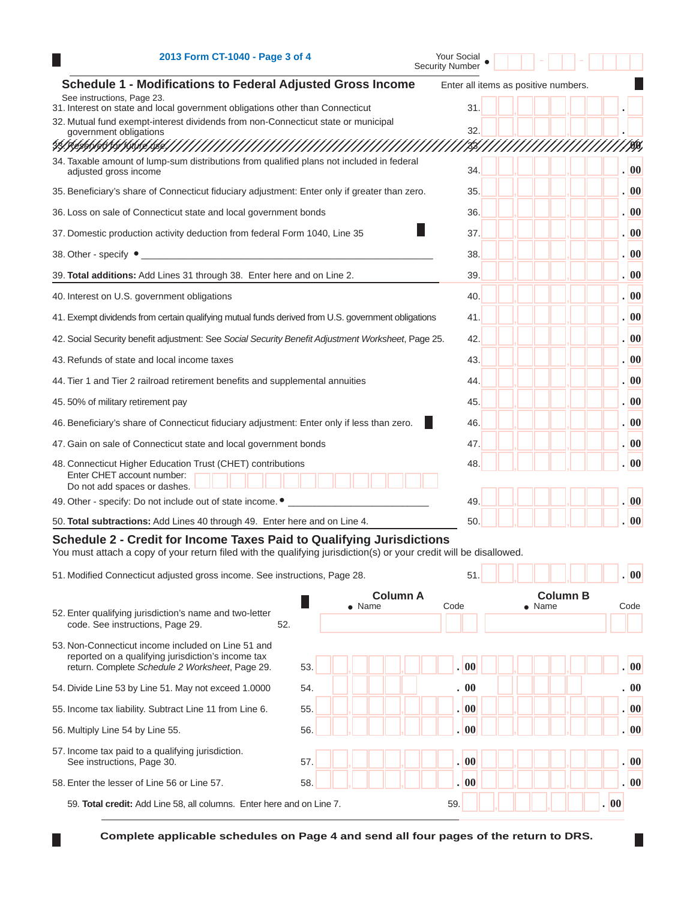| H                          | 2013 Form CT-1040 - Page 3 of 4                                                                                                                                                                                                                                           |                 | Your Social<br><b>Security Number</b> |                                      |              |                             |
|----------------------------|---------------------------------------------------------------------------------------------------------------------------------------------------------------------------------------------------------------------------------------------------------------------------|-----------------|---------------------------------------|--------------------------------------|--------------|-----------------------------|
|                            | <b>Schedule 1 - Modifications to Federal Adjusted Gross Income</b>                                                                                                                                                                                                        |                 |                                       | Enter all items as positive numbers. |              |                             |
| See instructions, Page 23. | 31. Interest on state and local government obligations other than Connecticut                                                                                                                                                                                             |                 | 31.                                   |                                      |              |                             |
|                            | 32. Mutual fund exempt-interest dividends from non-Connecticut state or municipal                                                                                                                                                                                         |                 | 32.                                   |                                      |              |                             |
| 33!JSe\$9619615615         | government obligations                                                                                                                                                                                                                                                    |                 |                                       |                                      |              | Ю)                          |
| adjusted gross income      | 34. Taxable amount of lump-sum distributions from qualified plans not included in federal                                                                                                                                                                                 |                 | 34.                                   |                                      |              | $\sqrt{00}$                 |
|                            | 35. Beneficiary's share of Connecticut fiduciary adjustment: Enter only if greater than zero.                                                                                                                                                                             |                 | 35.                                   |                                      |              | .  00                       |
|                            | 36. Loss on sale of Connecticut state and local government bonds                                                                                                                                                                                                          |                 | 36.                                   |                                      |              | . 00                        |
|                            | 37. Domestic production activity deduction from federal Form 1040, Line 35                                                                                                                                                                                                |                 | 37.                                   |                                      |              | .100                        |
| 38. Other - specify ●      |                                                                                                                                                                                                                                                                           |                 | 38.                                   |                                      |              | . 00                        |
|                            | 39. Total additions: Add Lines 31 through 38. Enter here and on Line 2.                                                                                                                                                                                                   |                 | 39.                                   |                                      |              | . 00                        |
|                            | 40. Interest on U.S. government obligations                                                                                                                                                                                                                               |                 | 40.                                   |                                      |              | .  00                       |
|                            | 41. Exempt dividends from certain qualifying mutual funds derived from U.S. government obligations                                                                                                                                                                        |                 | 41.                                   |                                      |              | .  00                       |
|                            | 42. Social Security benefit adjustment: See Social Security Benefit Adjustment Worksheet, Page 25.                                                                                                                                                                        |                 | 42.                                   |                                      |              | . 00                        |
|                            | 43. Refunds of state and local income taxes                                                                                                                                                                                                                               |                 | 43.                                   |                                      |              | .  00                       |
|                            | 44. Tier 1 and Tier 2 railroad retirement benefits and supplemental annuities                                                                                                                                                                                             |                 | 44.                                   |                                      |              | .  00                       |
|                            | 45.50% of military retirement pay                                                                                                                                                                                                                                         |                 | 45.                                   |                                      |              | .100                        |
|                            | 46. Beneficiary's share of Connecticut fiduciary adjustment: Enter only if less than zero.                                                                                                                                                                                |                 | 46.                                   |                                      |              | .  00                       |
|                            | 47. Gain on sale of Connecticut state and local government bonds                                                                                                                                                                                                          |                 | 47.                                   |                                      |              | . 00                        |
|                            | 48. Connecticut Higher Education Trust (CHET) contributions<br>Enter CHET account number:<br>Do not add spaces or dashes.                                                                                                                                                 |                 | 48.                                   |                                      |              | .  00                       |
|                            | 49. Other - specify: Do not include out of state income. $\bullet$                                                                                                                                                                                                        |                 | 49.                                   |                                      |              | 00                          |
|                            | 50. Total subtractions: Add Lines 40 through 49. Enter here and on Line 4.                                                                                                                                                                                                |                 | 50.                                   |                                      |              | . 00                        |
|                            | Schedule 2 - Credit for Income Taxes Paid to Qualifying Jurisdictions<br>You must attach a copy of your return filed with the qualifying jurisdiction(s) or your credit will be disallowed.<br>51. Modified Connecticut adjusted gross income. See instructions, Page 28. |                 | 51                                    |                                      |              | 00                          |
|                            |                                                                                                                                                                                                                                                                           | <b>Column A</b> |                                       | <b>Column B</b>                      |              |                             |
|                            | 52. Enter qualifying jurisdiction's name and two-letter<br>code. See instructions, Page 29.<br>52.                                                                                                                                                                        | $\bullet$ Name  | Code                                  | $\bullet$ Name                       |              | Code                        |
|                            | 53. Non-Connecticut income included on Line 51 and<br>reported on a qualifying jurisdiction's income tax<br>return. Complete Schedule 2 Worksheet, Page 29.                                                                                                               | 53.             | . 00                                  |                                      |              | $\overline{\phantom{0}}$ 00 |
|                            | 54. Divide Line 53 by Line 51. May not exceed 1.0000                                                                                                                                                                                                                      | 54.             | . 00                                  |                                      |              | . 00                        |
|                            | 55. Income tax liability. Subtract Line 11 from Line 6.                                                                                                                                                                                                                   | 55.             | . 00                                  |                                      |              | .  00                       |
|                            | 56. Multiply Line 54 by Line 55.                                                                                                                                                                                                                                          | 56.             | .  00                                 |                                      |              | . 00                        |
|                            | 57. Income tax paid to a qualifying jurisdiction.                                                                                                                                                                                                                         |                 |                                       |                                      |              |                             |
|                            | See instructions, Page 30.                                                                                                                                                                                                                                                | 57.             | . 00                                  |                                      |              | 00                          |
|                            | 58. Enter the lesser of Line 56 or Line 57.                                                                                                                                                                                                                               | 58.             | .  00                                 |                                      |              | .  00                       |
|                            | 59. Total credit: Add Line 58, all columns. Enter here and on Line 7.                                                                                                                                                                                                     |                 | 59.                                   |                                      | $ 00\rangle$ |                             |

**Complete applicable schedules on Page 4 and send all four pages of the return to DRS.**

П

П